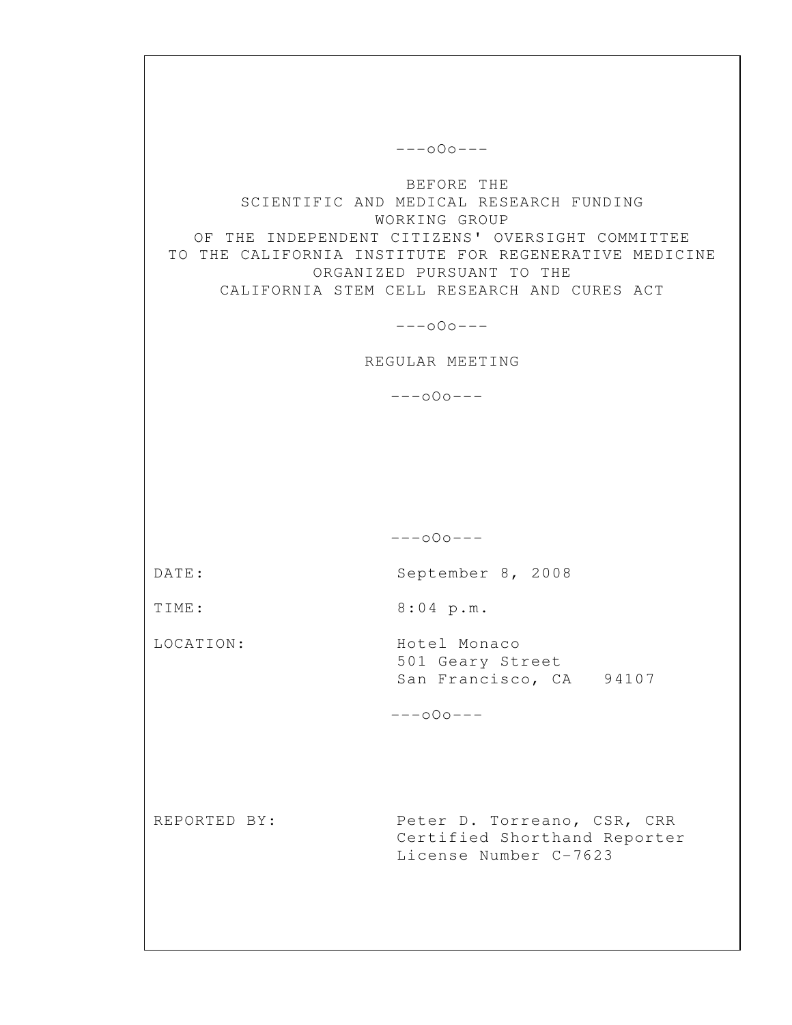---oOo--- BEFORE THE SCIENTIFIC AND MEDICAL RESEARCH FUNDING WORKING GROUP OF THE INDEPENDENT CITIZENS' OVERSIGHT COMMITTEE TO THE CALIFORNIA INSTITUTE FOR REGENERATIVE MEDICINE ORGANIZED PURSUANT TO THE CALIFORNIA STEM CELL RESEARCH AND CURES ACT ---oOo--- REGULAR MEETING ---oOo--- ---oOo--- DATE: September 8, 2008 TIME: 8:04 p.m. LOCATION: Hotel Monaco 501 Geary Street San Francisco, CA 94107 ---oOo--- REPORTED BY: Peter D. Torreano, CSR, CRR Certified Shorthand Reporter License Number C-7623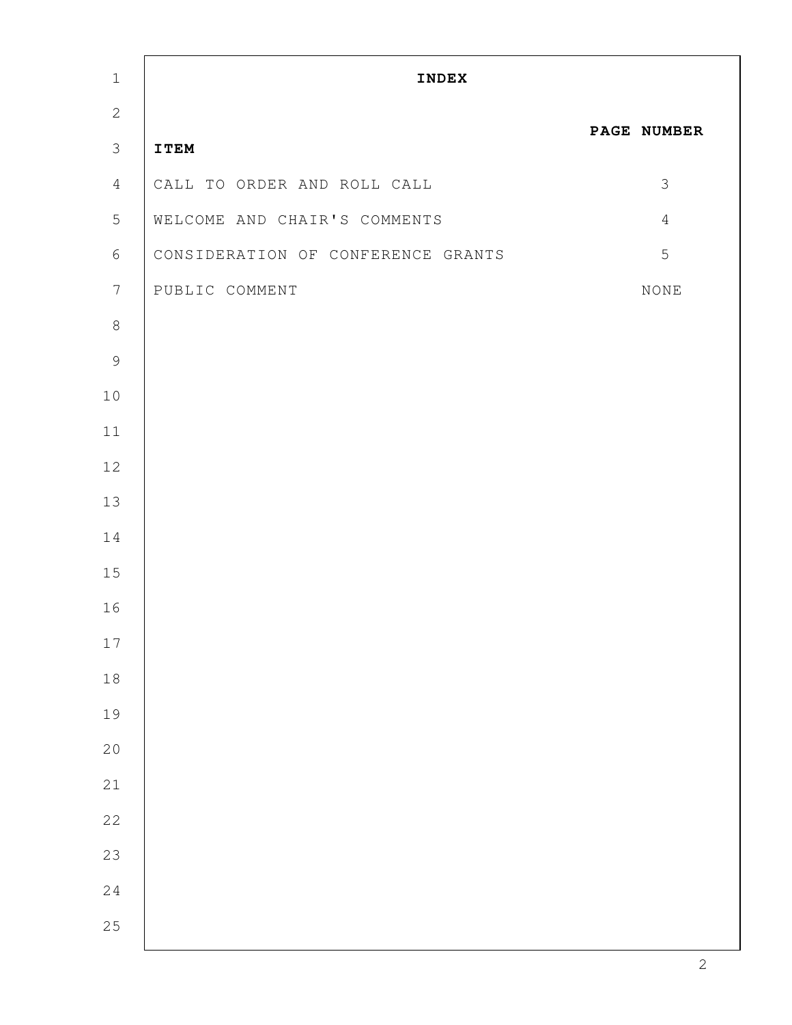| $\mathbf 1$     | <b>INDEX</b>                       |                |  |
|-----------------|------------------------------------|----------------|--|
| $\mathbf{2}$    |                                    |                |  |
| $\mathfrak{Z}$  | <b>ITEM</b>                        | PAGE NUMBER    |  |
| $\overline{4}$  | CALL TO ORDER AND ROLL CALL        | $\mathcal{S}$  |  |
| $5\phantom{.0}$ | WELCOME AND CHAIR'S COMMENTS       | $\overline{4}$ |  |
| 6               | CONSIDERATION OF CONFERENCE GRANTS | 5              |  |
| $7\phantom{.}$  | PUBLIC COMMENT                     | $\rm{NONE}$    |  |
| $\,8\,$         |                                    |                |  |
| $\mathcal{G}$   |                                    |                |  |
| $10$            |                                    |                |  |
| $11$            |                                    |                |  |
| 12              |                                    |                |  |
| 13              |                                    |                |  |
| 14              |                                    |                |  |
| 15              |                                    |                |  |
| 16              |                                    |                |  |
| $17$            |                                    |                |  |
| $1\,8$          |                                    |                |  |
| 19              |                                    |                |  |
| $20$            |                                    |                |  |
| $21\,$          |                                    |                |  |
| $2\sqrt{2}$     |                                    |                |  |
| 23              |                                    |                |  |
| $2\,4$          |                                    |                |  |
| $2\,5$          |                                    |                |  |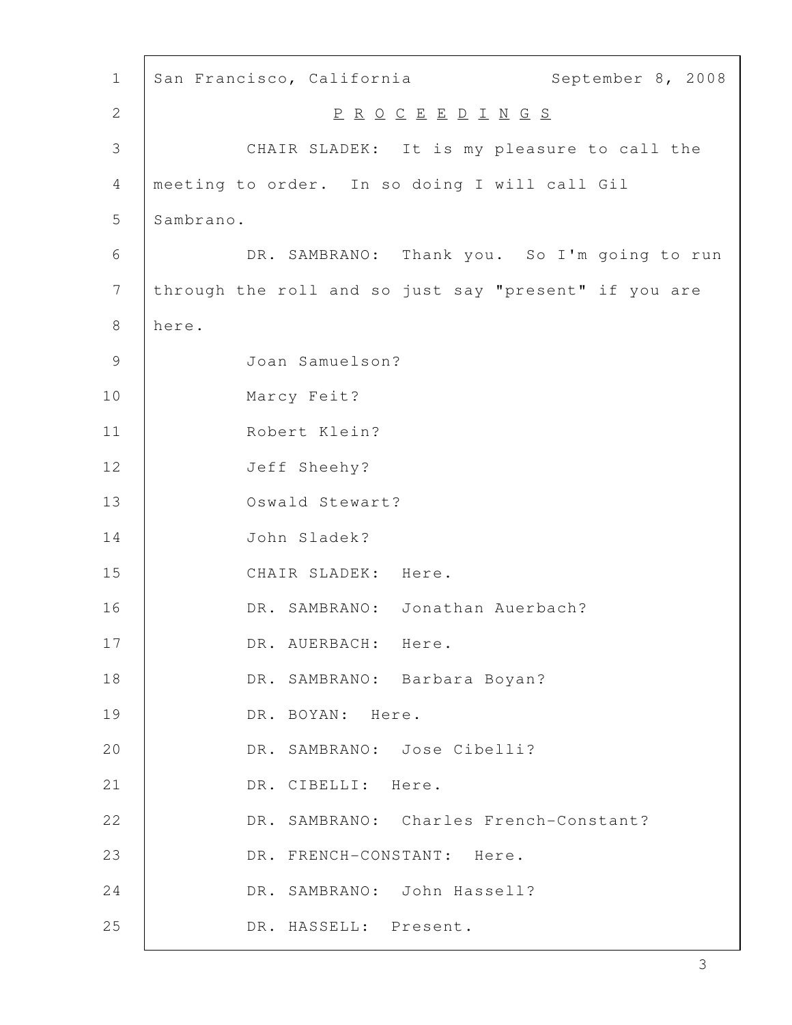| $\mathbf 1$      | September 8, 2008<br>San Francisco, California        |
|------------------|-------------------------------------------------------|
| $\mathbf{2}$     | PROCEEDINGS                                           |
| 3                | CHAIR SLADEK: It is my pleasure to call the           |
| 4                | meeting to order. In so doing I will call Gil         |
| 5                | Sambrano.                                             |
| 6                | DR. SAMBRANO: Thank you. So I'm going to run          |
| $\boldsymbol{7}$ | through the roll and so just say "present" if you are |
| 8                | here.                                                 |
| 9                | Joan Samuelson?                                       |
| 10               | Marcy Feit?                                           |
| 11               | Robert Klein?                                         |
| 12               | Jeff Sheehy?                                          |
| 13               | Oswald Stewart?                                       |
| 14               | John Sladek?                                          |
| 15               | CHAIR SLADEK: Here.                                   |
| 16               | DR. SAMBRANO: Jonathan Auerbach?                      |
| 17               | DR. AUERBACH:<br>Here.                                |
| 18               | DR. SAMBRANO: Barbara Boyan?                          |
| 19               | DR. BOYAN: Here.                                      |
| 20               | DR. SAMBRANO: Jose Cibelli?                           |
| 21               | DR. CIBELLI: Here.                                    |
| 22               | DR. SAMBRANO: Charles French-Constant?                |
| 23               | DR. FRENCH-CONSTANT: Here.                            |
| 24               | DR. SAMBRANO: John Hassell?                           |
| 25               | DR. HASSELL: Present.                                 |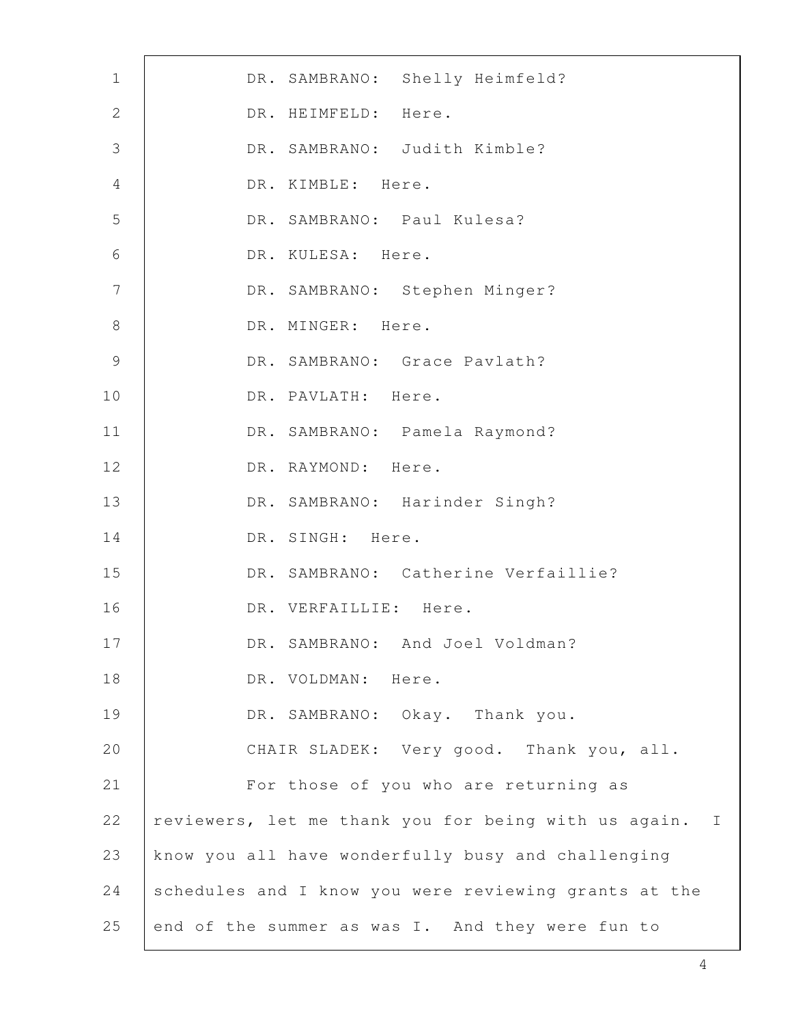| $\mathbf 1$     | DR. SAMBRANO: Shelly Heimfeld?                         |
|-----------------|--------------------------------------------------------|
| $\mathbf{2}$    | DR. HEIMFELD: Here.                                    |
| 3               | DR. SAMBRANO: Judith Kimble?                           |
| 4               | DR. KIMBLE: Here.                                      |
| 5               | DR. SAMBRANO: Paul Kulesa?                             |
| 6               | DR. KULESA: Here.                                      |
| $7\phantom{.0}$ | DR. SAMBRANO: Stephen Minger?                          |
| $\,8\,$         | DR. MINGER: Here.                                      |
| $\mathcal{G}$   | DR. SAMBRANO: Grace Pavlath?                           |
| 10              | DR. PAVLATH: Here.                                     |
| 11              | DR. SAMBRANO: Pamela Raymond?                          |
| 12              | DR. RAYMOND: Here.                                     |
| 13              | DR. SAMBRANO: Harinder Singh?                          |
| 14              | DR. SINGH: Here.                                       |
| 15              | DR. SAMBRANO: Catherine Verfaillie?                    |
| 16              | DR. VERFAILLIE: Here.                                  |
| 17              | DR. SAMBRANO: And Joel Voldman?                        |
| 18              | DR. VOLDMAN: Here.                                     |
| 19              | DR. SAMBRANO: Okay. Thank you.                         |
| 20              | CHAIR SLADEK: Very good. Thank you, all.               |
| 21              | For those of you who are returning as                  |
| 22              | reviewers, let me thank you for being with us again. I |
| 23              | know you all have wonderfully busy and challenging     |
| 24              | schedules and I know you were reviewing grants at the  |
| 25              | end of the summer as was I. And they were fun to       |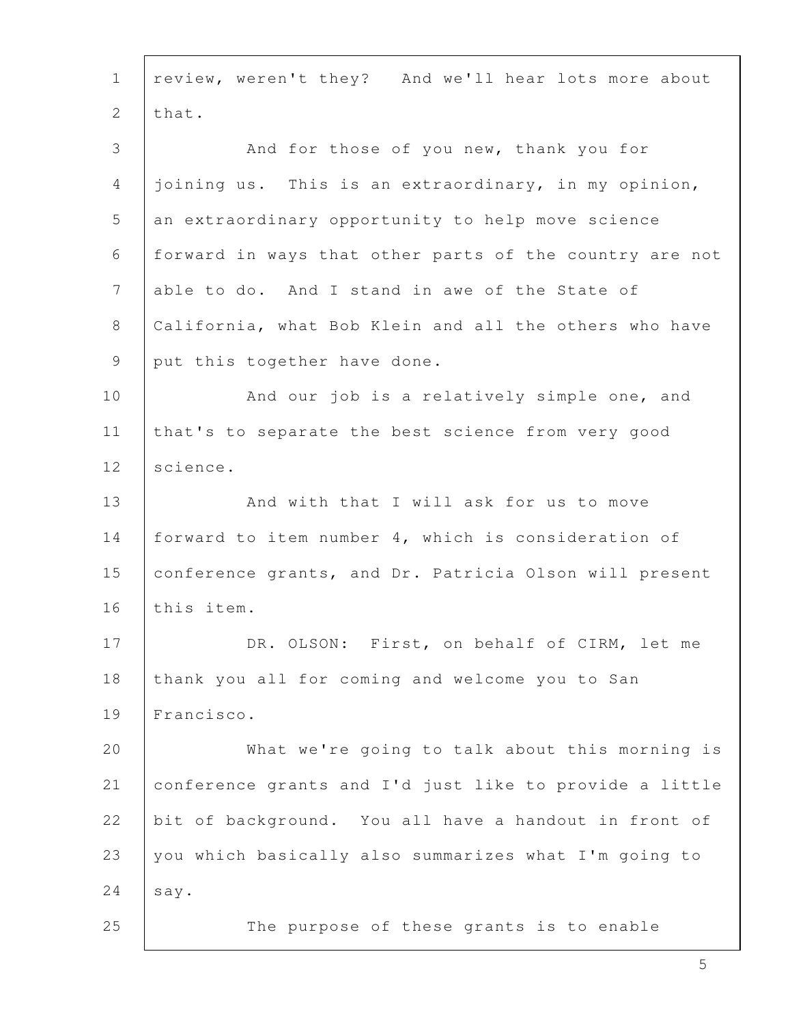| $\mathbf{1}$   | review, weren't they? And we'll hear lots more about    |
|----------------|---------------------------------------------------------|
| $\mathbf{2}$   | that.                                                   |
| 3              | And for those of you new, thank you for                 |
| 4              | joining us. This is an extraordinary, in my opinion,    |
| 5              | an extraordinary opportunity to help move science       |
| 6              | forward in ways that other parts of the country are not |
| $\overline{7}$ | able to do. And I stand in awe of the State of          |
| 8              | California, what Bob Klein and all the others who have  |
| 9              | put this together have done.                            |
| 10             | And our job is a relatively simple one, and             |
| 11             | that's to separate the best science from very good      |
| 12             | science.                                                |
| 13             | And with that I will ask for us to move                 |
| 14             | forward to item number 4, which is consideration of     |
| 15             | conference grants, and Dr. Patricia Olson will present  |
| 16             | this item.                                              |
| 17             | DR. OLSON: First, on behalf of CIRM, let me             |
| 18             | thank you all for coming and welcome you to San         |
| 19             | Francisco.                                              |
| 20             | What we're going to talk about this morning is          |
| 21             | conference grants and I'd just like to provide a little |
| 22             | bit of background. You all have a handout in front of   |
| 23             | you which basically also summarizes what I'm going to   |
| 24             | say.                                                    |
| 25             | The purpose of these grants is to enable                |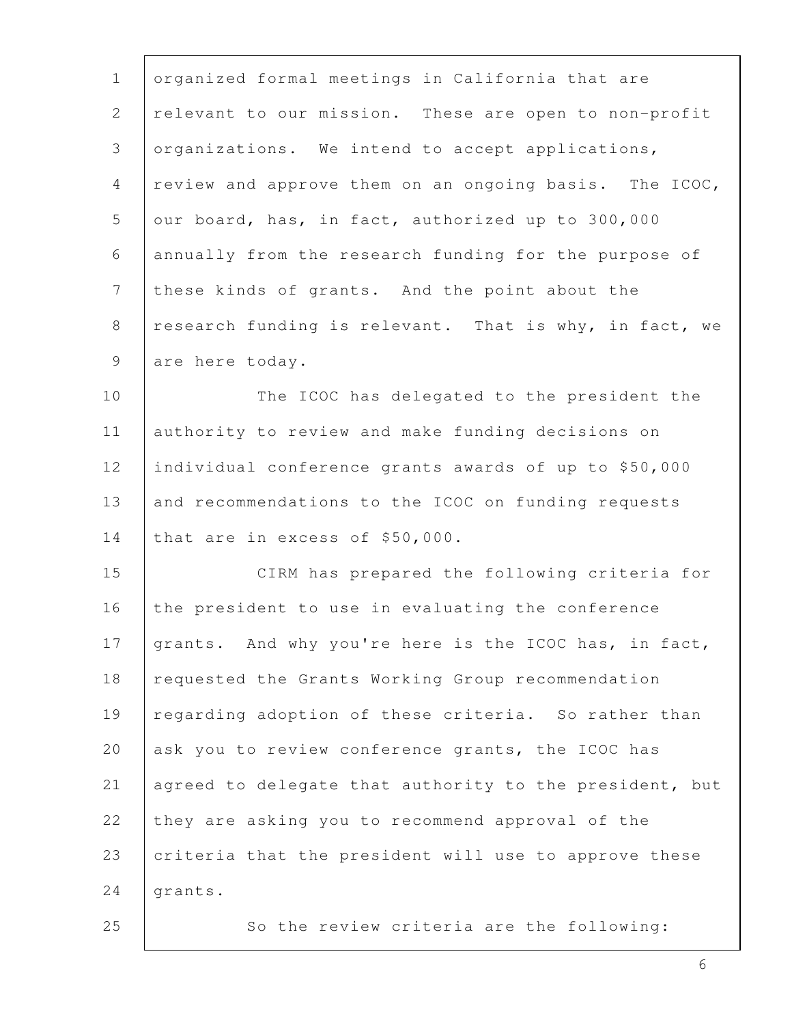| $\mathbf 1$    | organized formal meetings in California that are        |
|----------------|---------------------------------------------------------|
| $\overline{2}$ | relevant to our mission. These are open to non-profit   |
| 3              | organizations. We intend to accept applications,        |
| 4              | review and approve them on an ongoing basis. The ICOC,  |
| 5              | our board, has, in fact, authorized up to 300,000       |
| 6              | annually from the research funding for the purpose of   |
| $\overline{7}$ | these kinds of grants. And the point about the          |
| 8              | research funding is relevant. That is why, in fact, we  |
| 9              | are here today.                                         |
| 10             | The ICOC has delegated to the president the             |
| 11             | authority to review and make funding decisions on       |
| 12             | individual conference grants awards of up to \$50,000   |
| 13             | and recommendations to the ICOC on funding requests     |
| 14             | that are in excess of \$50,000.                         |
| 15             | CIRM has prepared the following criteria for            |
| 16             | the president to use in evaluating the conference       |
| 17             | grants. And why you're here is the ICOC has, in fact,   |
| 18             | requested the Grants Working Group recommendation       |
| 19             | regarding adoption of these criteria. So rather than    |
| 20             | ask you to review conference grants, the ICOC has       |
| 21             | agreed to delegate that authority to the president, but |
| 22             | they are asking you to recommend approval of the        |
| 23             | criteria that the president will use to approve these   |
| 24             | grants.                                                 |
| 25             | So the review criteria are the following:               |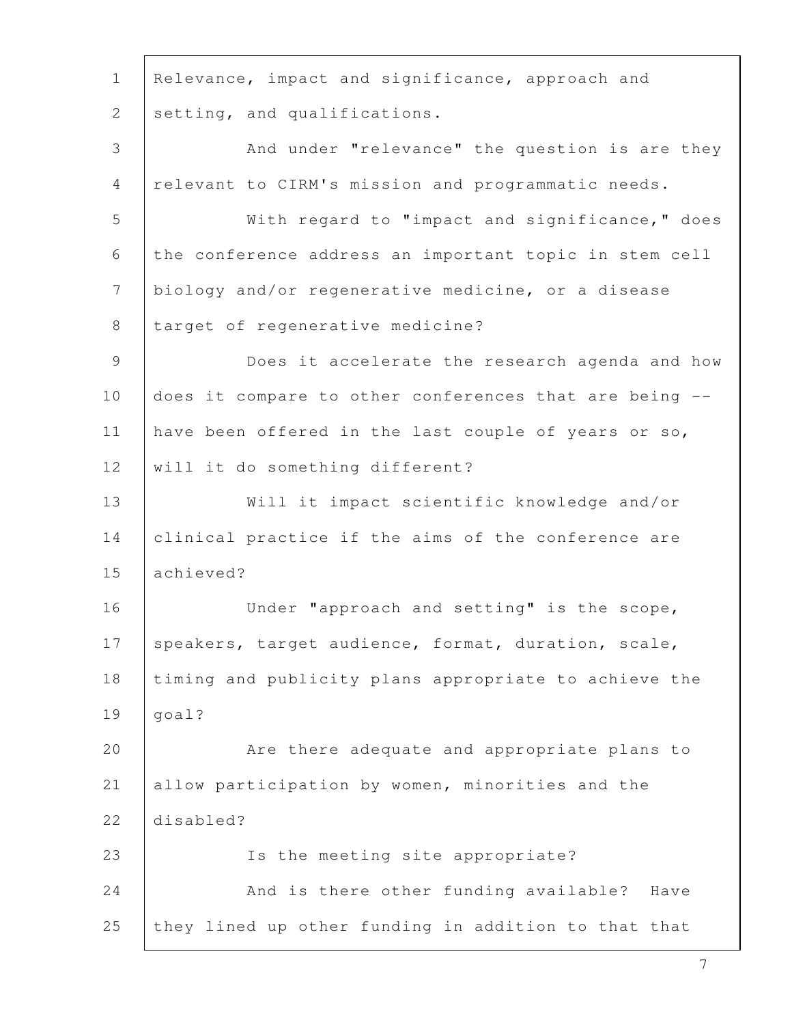| $\mathbf 1$     | Relevance, impact and significance, approach and       |
|-----------------|--------------------------------------------------------|
| 2               | setting, and qualifications.                           |
| 3               | And under "relevance" the question is are they         |
| $\overline{4}$  | relevant to CIRM's mission and programmatic needs.     |
| 5               | With regard to "impact and significance," does         |
| 6               | the conference address an important topic in stem cell |
| $7\phantom{.0}$ | biology and/or regenerative medicine, or a disease     |
| 8               | target of regenerative medicine?                       |
| 9               | Does it accelerate the research agenda and how         |
| 10              | does it compare to other conferences that are being -- |
| 11              | have been offered in the last couple of years or so,   |
| 12              | will it do something different?                        |
| 13              | Will it impact scientific knowledge and/or             |
| 14              | clinical practice if the aims of the conference are    |
| 15              | achieved?                                              |
| 16              | Under "approach and setting" is the scope,             |
| 17              | speakers, target audience, format, duration, scale,    |
| 18              | timing and publicity plans appropriate to achieve the  |
| 19              | goal?                                                  |
| 20              | Are there adequate and appropriate plans to            |
| 21              | allow participation by women, minorities and the       |
| 22              | disabled?                                              |
| 23              | Is the meeting site appropriate?                       |
| 24              | And is there other funding available? Have             |
| 25              | they lined up other funding in addition to that that   |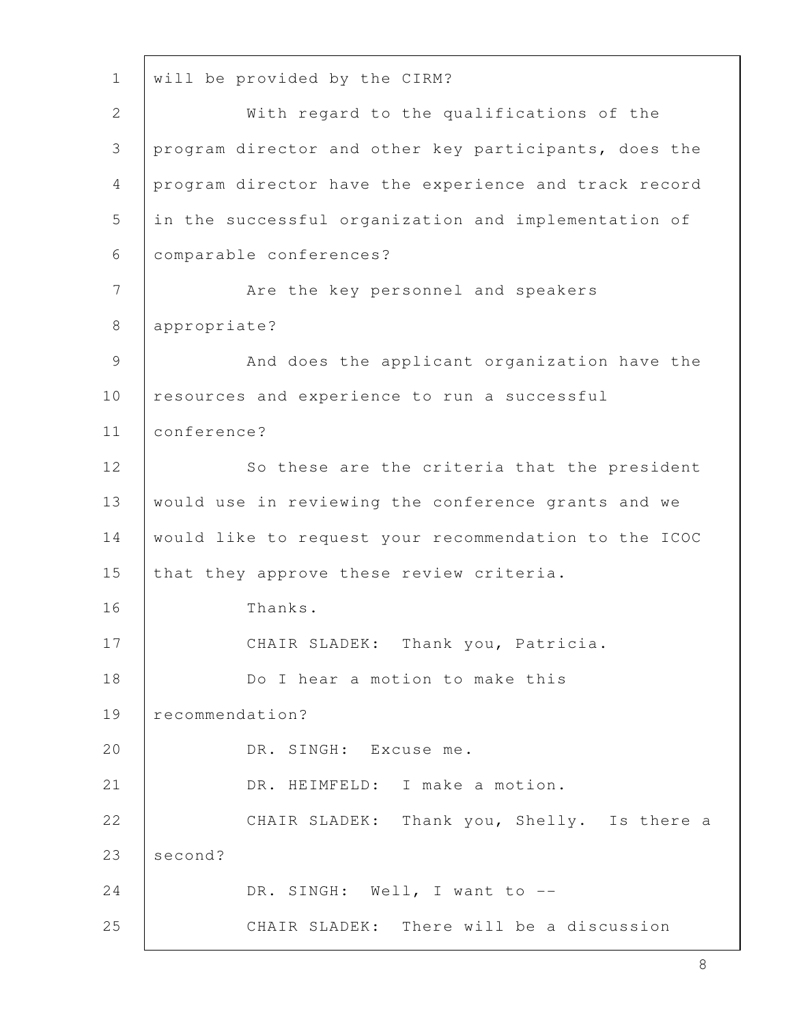1 will be provided by the CIRM? 2 | With regard to the qualifications of the 3 program director and other key participants, does the 4 program director have the experience and track record 5 in the successful organization and implementation of 6 comparable conferences? 7 | Are the key personnel and speakers 8 appropriate? 9 | And does the applicant organization have the 10 resources and experience to run a successful 11 conference? 12 | So these are the criteria that the president 13 would use in reviewing the conference grants and we 14 would like to request your recommendation to the ICOC 15 that they approve these review criteria. 16 Thanks. 17 | CHAIR SLADEK: Thank you, Patricia. 18 Do I hear a motion to make this 19 recommendation? 20 DR. SINGH: Excuse me. 21 | DR. HEIMFELD: I make a motion. 22 CHAIR SLADEK: Thank you, Shelly. Is there a 23 second? 24 DR. SINGH: Well, I want to --25 CHAIR SLADEK: There will be a discussion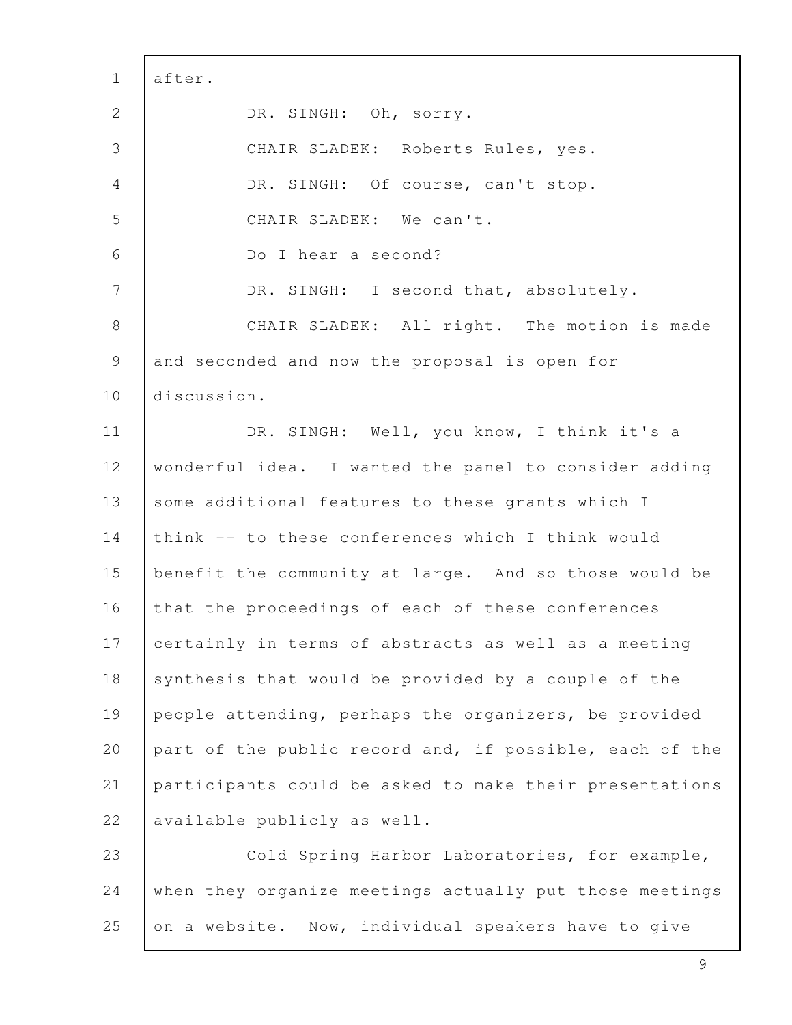| $\mathbf{1}$   | after.                                                  |
|----------------|---------------------------------------------------------|
| $\mathbf{2}$   | DR. SINGH: Oh, sorry.                                   |
| 3              | CHAIR SLADEK: Roberts Rules, yes.                       |
| 4              | DR. SINGH: Of course, can't stop.                       |
| 5              | CHAIR SLADEK: We can't.                                 |
| $\sqrt{6}$     | Do I hear a second?                                     |
| $7\phantom{.}$ | DR. SINGH: I second that, absolutely.                   |
| $8\,$          | CHAIR SLADEK: All right. The motion is made             |
| 9              | and seconded and now the proposal is open for           |
| 10             | discussion.                                             |
| 11             | DR. SINGH: Well, you know, I think it's a               |
| 12             | wonderful idea. I wanted the panel to consider adding   |
| 13             | some additional features to these grants which I        |
| 14             | think -- to these conferences which I think would       |
| 15             | benefit the community at large. And so those would be   |
| 16             | that the proceedings of each of these conferences       |
| 17             | certainly in terms of abstracts as well as a meeting    |
| 18             | synthesis that would be provided by a couple of the     |
| 19             | people attending, perhaps the organizers, be provided   |
| 20             | part of the public record and, if possible, each of the |
| 21             | participants could be asked to make their presentations |
| 22             | available publicly as well.                             |
| 23             | Cold Spring Harbor Laboratories, for example,           |
| 24             | when they organize meetings actually put those meetings |
| 25             | on a website. Now, individual speakers have to give     |

Г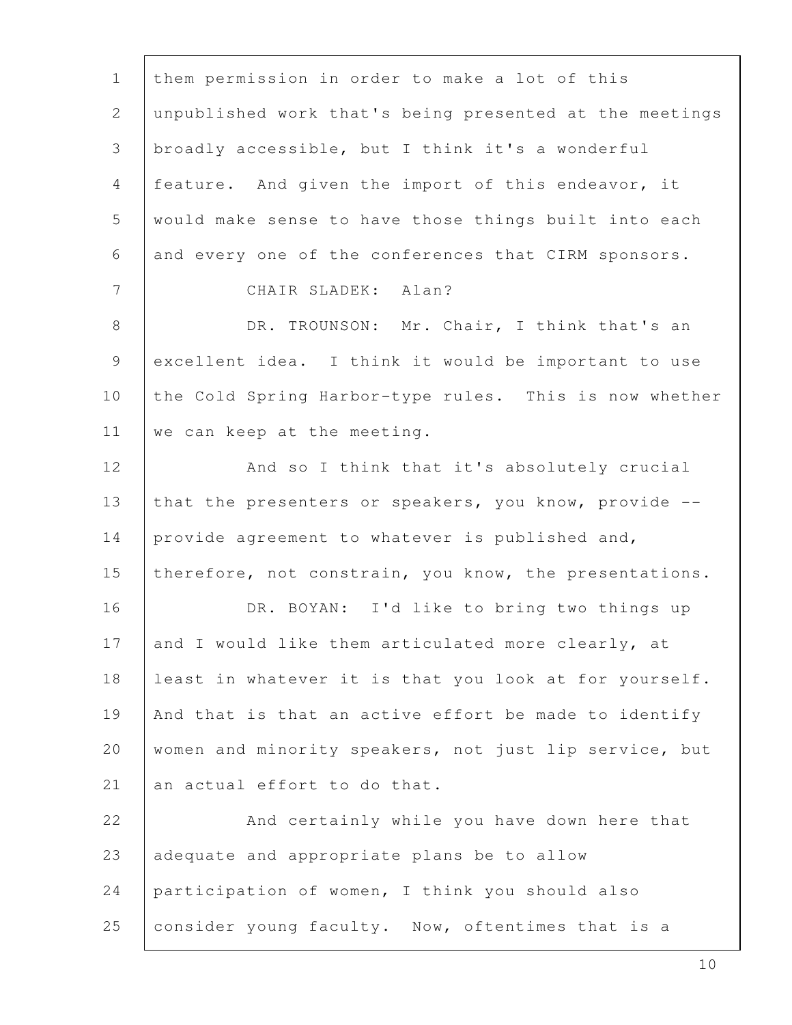| $\mathbf 1$    | them permission in order to make a lot of this          |
|----------------|---------------------------------------------------------|
| $\mathbf{2}$   | unpublished work that's being presented at the meetings |
| 3              | broadly accessible, but I think it's a wonderful        |
| $\overline{4}$ | feature. And given the import of this endeavor, it      |
| 5              | would make sense to have those things built into each   |
| 6              | and every one of the conferences that CIRM sponsors.    |
| $7\phantom{.}$ | CHAIR SLADEK: Alan?                                     |
| 8              | DR. TROUNSON: Mr. Chair, I think that's an              |
| 9              | excellent idea. I think it would be important to use    |
| 10             | the Cold Spring Harbor-type rules. This is now whether  |
| 11             | we can keep at the meeting.                             |
| 12             | And so I think that it's absolutely crucial             |
| 13             | that the presenters or speakers, you know, provide --   |
| 14             | provide agreement to whatever is published and,         |
| 15             | therefore, not constrain, you know, the presentations.  |
| 16             | DR. BOYAN: I'd like to bring two things up              |
| 17             | and I would like them articulated more clearly, at      |
| 18             | least in whatever it is that you look at for yourself.  |
| 19             | And that is that an active effort be made to identify   |
| 20             | women and minority speakers, not just lip service, but  |
| 21             | an actual effort to do that.                            |
| 22             | And certainly while you have down here that             |
| 23             | adequate and appropriate plans be to allow              |
| 24             | participation of women, I think you should also         |
| 25             | consider young faculty. Now, oftentimes that is a       |

ı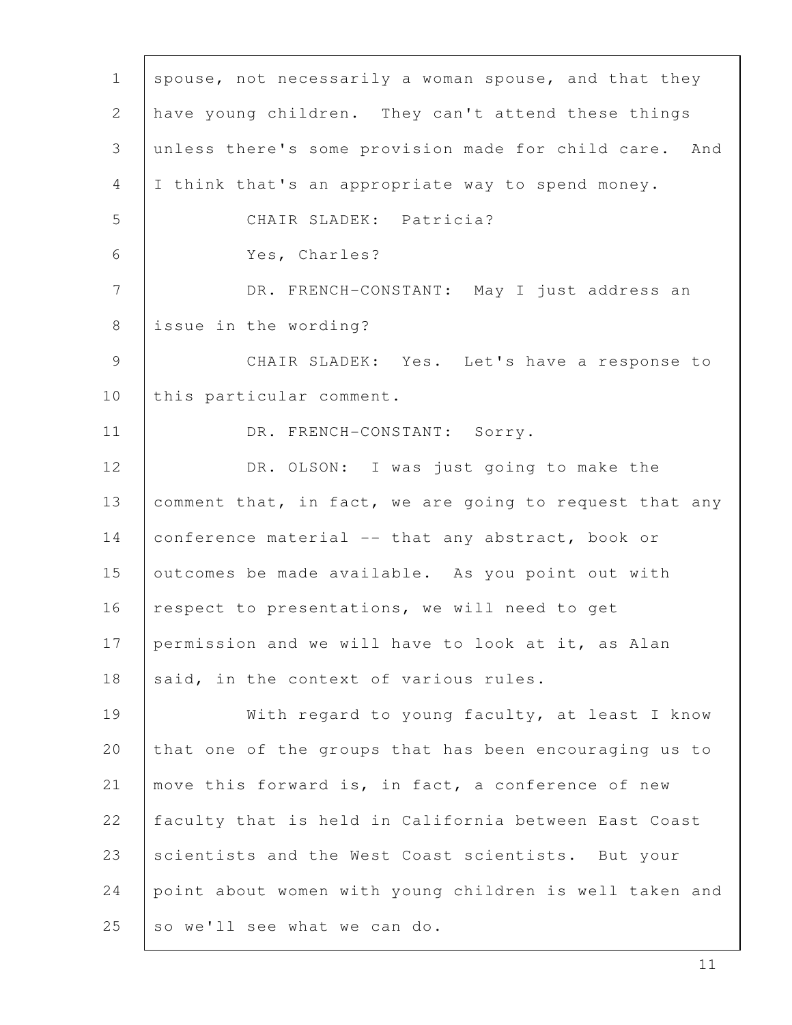| $\mathbf{1}$   | spouse, not necessarily a woman spouse, and that they   |
|----------------|---------------------------------------------------------|
| $\overline{2}$ | have young children. They can't attend these things     |
| 3              | unless there's some provision made for child care. And  |
| 4              | I think that's an appropriate way to spend money.       |
| 5              | CHAIR SLADEK: Patricia?                                 |
| 6              | Yes, Charles?                                           |
| $7\phantom{.}$ | DR. FRENCH-CONSTANT: May I just address an              |
| 8              | issue in the wording?                                   |
| 9              | CHAIR SLADEK: Yes. Let's have a response to             |
| 10             | this particular comment.                                |
| 11             | DR. FRENCH-CONSTANT: Sorry.                             |
| 12             | DR. OLSON: I was just going to make the                 |
| 13             | comment that, in fact, we are going to request that any |
| 14             | conference material -- that any abstract, book or       |
| 15             | outcomes be made available. As you point out with       |
| 16             | respect to presentations, we will need to get           |
| 17             | permission and we will have to look at it, as Alan      |
| 18             | said, in the context of various rules.                  |
| 19             | With regard to young faculty, at least I know           |
| 20             | that one of the groups that has been encouraging us to  |
| 21             | move this forward is, in fact, a conference of new      |
| 22             | faculty that is held in California between East Coast   |
| 23             | scientists and the West Coast scientists. But your      |
| 24             | point about women with young children is well taken and |
| 25             | so we'll see what we can do.                            |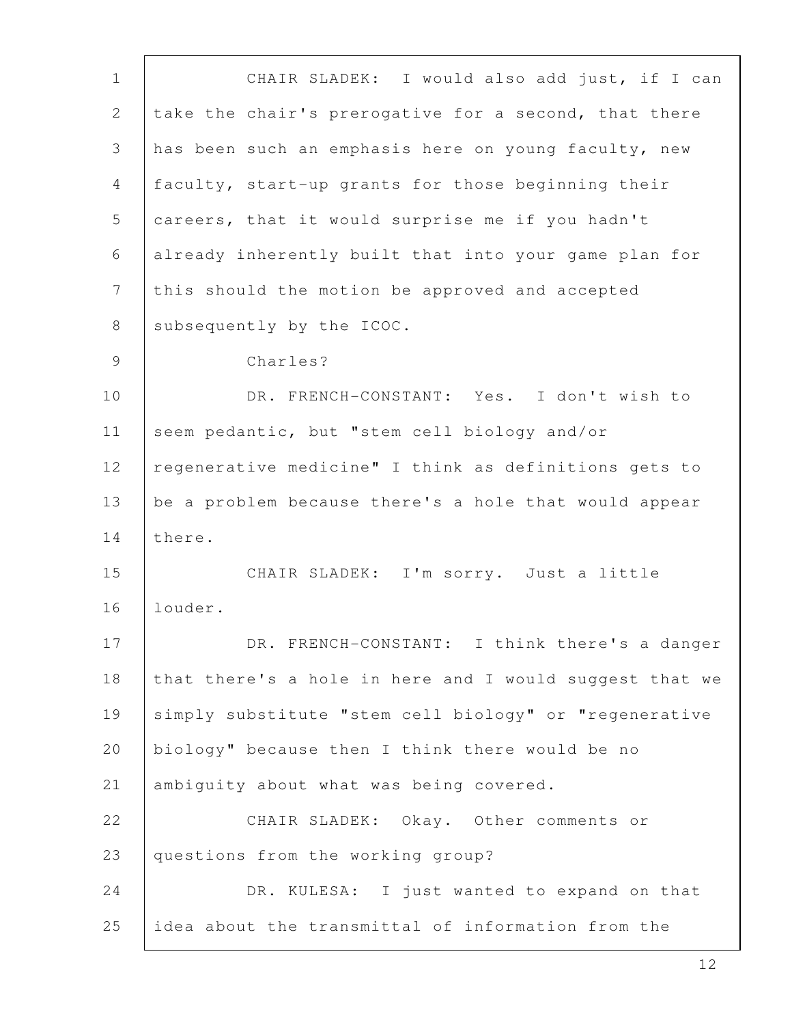1 CHAIR SLADEK: I would also add just, if I can 2 take the chair's prerogative for a second, that there 3 has been such an emphasis here on young faculty, new 4 faculty, start-up grants for those beginning their 5 careers, that it would surprise me if you hadn't 6 already inherently built that into your game plan for 7 this should the motion be approved and accepted 8 | subsequently by the ICOC. 9 Charles? 10 | DR. FRENCH-CONSTANT: Yes. I don't wish to 11 seem pedantic, but "stem cell biology and/or 12 | regenerative medicine" I think as definitions gets to 13 be a problem because there's a hole that would appear 14 there. 15 CHAIR SLADEK: I'm sorry. Just a little 16 louder. 17 | DR. FRENCH-CONSTANT: I think there's a danger 18 that there's a hole in here and I would suggest that we 19 | simply substitute "stem cell biology" or "regenerative 20 | biology" because then I think there would be no 21 ambiguity about what was being covered. 22 CHAIR SLADEK: Okay. Other comments or 23 questions from the working group? 24 DR. KULESA: I just wanted to expand on that 25 idea about the transmittal of information from the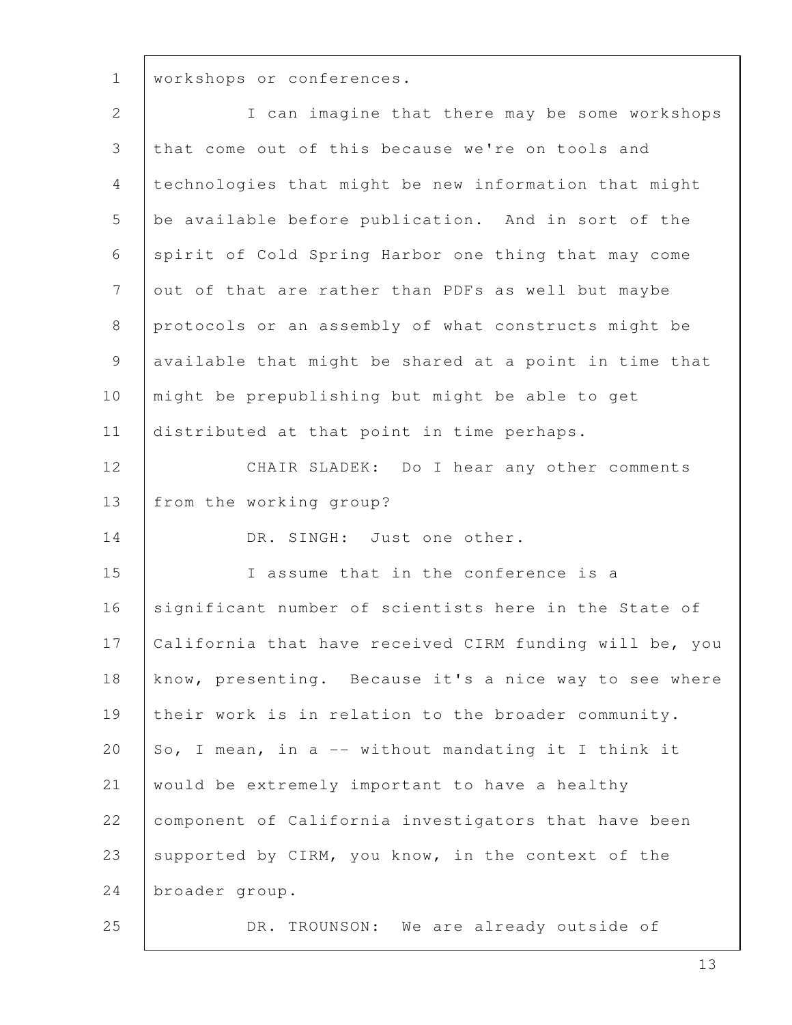1 | workshops or conferences.

| $\mathbf{2}$    | I can imagine that there may be some workshops          |
|-----------------|---------------------------------------------------------|
| 3               | that come out of this because we're on tools and        |
| 4               | technologies that might be new information that might   |
| 5               | be available before publication. And in sort of the     |
| 6               | spirit of Cold Spring Harbor one thing that may come    |
| $7\overline{ }$ | out of that are rather than PDFs as well but maybe      |
| 8               | protocols or an assembly of what constructs might be    |
| 9               | available that might be shared at a point in time that  |
| 10              | might be prepublishing but might be able to get         |
| 11              | distributed at that point in time perhaps.              |
| 12              | CHAIR SLADEK: Do I hear any other comments              |
| 13              | from the working group?                                 |
| 14              | DR. SINGH: Just one other.                              |
| 15              | I assume that in the conference is a                    |
| 16              | significant number of scientists here in the State of   |
| 17              | California that have received CIRM funding will be, you |
| 18              | know, presenting. Because it's a nice way to see where  |
| 19              | their work is in relation to the broader community.     |
| 20              | So, I mean, in a -- without mandating it I think it     |
| 21              | would be extremely important to have a healthy          |
| 22              | component of California investigators that have been    |
| 23              | supported by CIRM, you know, in the context of the      |
| 24              | broader group.                                          |
| 25              | DR. TROUNSON: We are already outside of                 |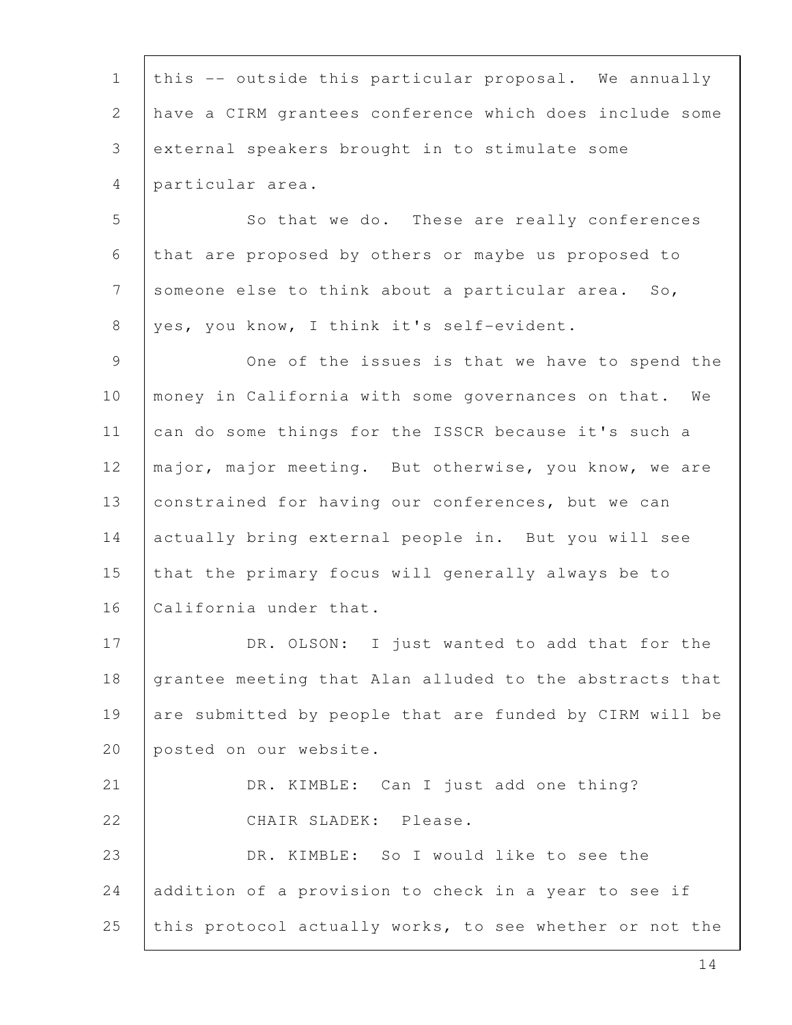| $\mathbf{1}$   | this -- outside this particular proposal. We annually   |
|----------------|---------------------------------------------------------|
| $\mathbf{2}$   | have a CIRM grantees conference which does include some |
| 3              | external speakers brought in to stimulate some          |
| 4              | particular area.                                        |
| 5              | So that we do. These are really conferences             |
| 6              | that are proposed by others or maybe us proposed to     |
| $7\phantom{.}$ | someone else to think about a particular area. So,      |
| 8              | yes, you know, I think it's self-evident.               |
| 9              | One of the issues is that we have to spend the          |
| 10             | money in California with some governances on that. We   |
| 11             | can do some things for the ISSCR because it's such a    |
| 12             | major, major meeting. But otherwise, you know, we are   |
| 13             | constrained for having our conferences, but we can      |
| 14             | actually bring external people in. But you will see     |
| 15             | that the primary focus will generally always be to      |
| 16             | California under that.                                  |
| 17             | DR. OLSON: I just wanted to add that for the            |
| 18             | grantee meeting that Alan alluded to the abstracts that |
| 19             | are submitted by people that are funded by CIRM will be |
| 20             | posted on our website.                                  |
| 21             | DR. KIMBLE: Can I just add one thing?                   |
| 22             | CHAIR SLADEK: Please.                                   |
| 23             | DR. KIMBLE: So I would like to see the                  |
| 24             | addition of a provision to check in a year to see if    |
| 25             | this protocol actually works, to see whether or not the |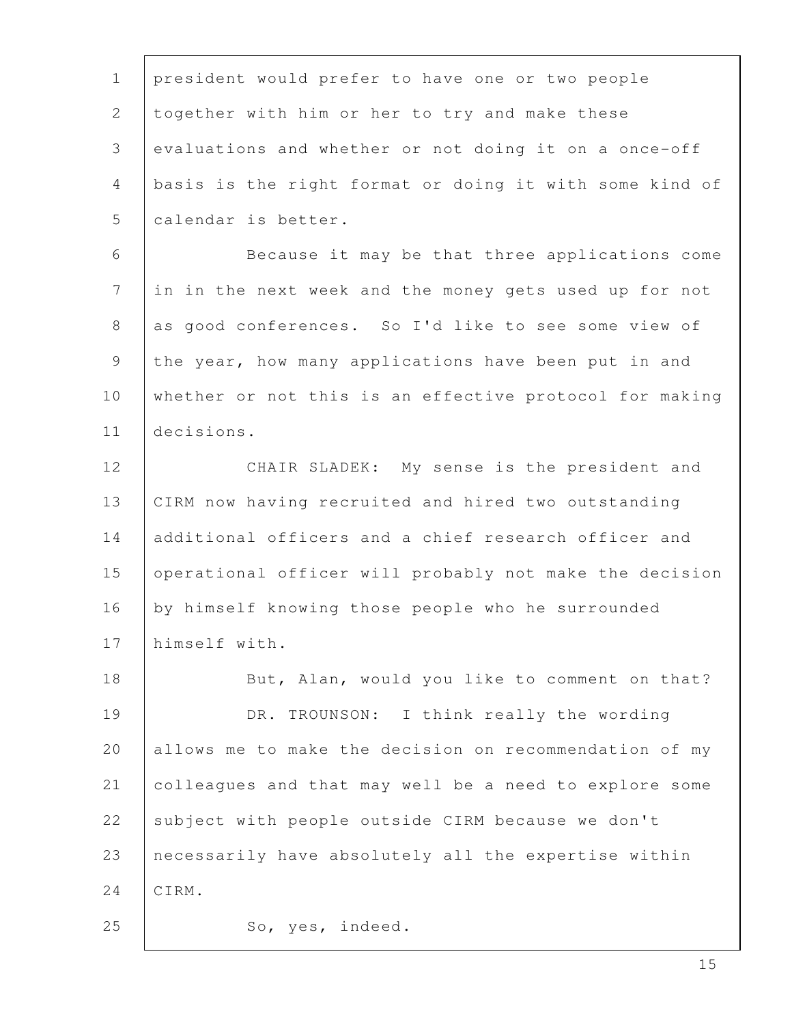| $\mathbf 1$    | president would prefer to have one or two people        |
|----------------|---------------------------------------------------------|
| $\overline{2}$ | together with him or her to try and make these          |
| 3              | evaluations and whether or not doing it on a once-off   |
| 4              | basis is the right format or doing it with some kind of |
| 5              | calendar is better.                                     |
| 6              | Because it may be that three applications come          |
| $\overline{7}$ | in in the next week and the money gets used up for not  |
| 8              | as good conferences. So I'd like to see some view of    |
| 9              | the year, how many applications have been put in and    |
| 10             | whether or not this is an effective protocol for making |
| 11             | decisions.                                              |
| 12             | CHAIR SLADEK: My sense is the president and             |
| 13             | CIRM now having recruited and hired two outstanding     |
| 14             | additional officers and a chief research officer and    |
| 15             | operational officer will probably not make the decision |
| 16             | by himself knowing those people who he surrounded       |
| 17             | himself with.                                           |
| 18             | But, Alan, would you like to comment on that?           |
| 19             | DR. TROUNSON: I think really the wording                |
| 20             | allows me to make the decision on recommendation of my  |
| 21             | colleagues and that may well be a need to explore some  |
| 22             | subject with people outside CIRM because we don't       |
| 23             | necessarily have absolutely all the expertise within    |
| 24             | CIRM.                                                   |
| 25             | So, yes, indeed.                                        |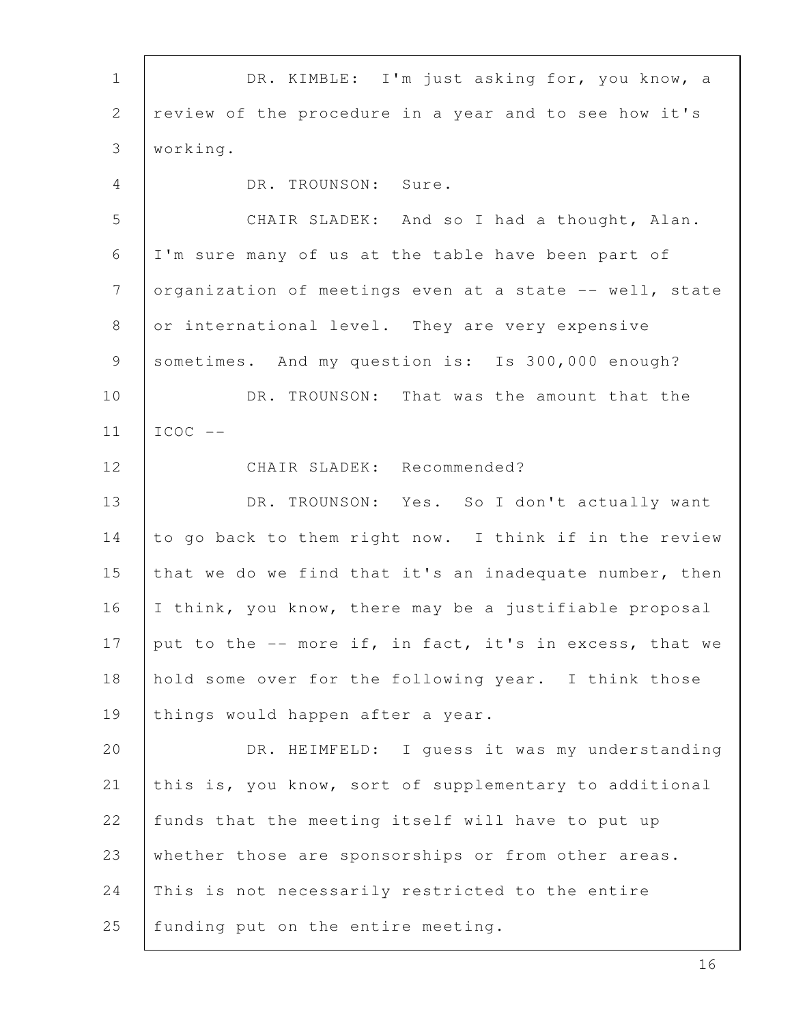| $1\,$          | DR. KIMBLE: I'm just asking for, you know, a            |
|----------------|---------------------------------------------------------|
| $\mathbf{2}$   | review of the procedure in a year and to see how it's   |
| 3              | working.                                                |
| $\overline{4}$ | DR. TROUNSON: Sure.                                     |
| 5              | CHAIR SLADEK: And so I had a thought, Alan.             |
| 6              | I'm sure many of us at the table have been part of      |
| $7\phantom{.}$ | organization of meetings even at a state -- well, state |
| 8              | or international level. They are very expensive         |
| 9              | sometimes. And my question is: Is 300,000 enough?       |
| 10             | DR. TROUNSON: That was the amount that the              |
| 11             | $ICOC$ --                                               |
| 12             | CHAIR SLADEK: Recommended?                              |
| 13             | DR. TROUNSON: Yes. So I don't actually want             |
| 14             | to go back to them right now. I think if in the review  |
| 15             | that we do we find that it's an inadequate number, then |
| 16             | I think, you know, there may be a justifiable proposal  |
| 17             | put to the -- more if, in fact, it's in excess, that we |
| 18             | hold some over for the following year. I think those    |
| 19             | things would happen after a year.                       |
| 20             | DR. HEIMFELD: I quess it was my understanding           |
| 21             | this is, you know, sort of supplementary to additional  |
| 22             | funds that the meeting itself will have to put up       |
| 23             | whether those are sponsorships or from other areas.     |
| 24             | This is not necessarily restricted to the entire        |
| 25             | funding put on the entire meeting.                      |

ı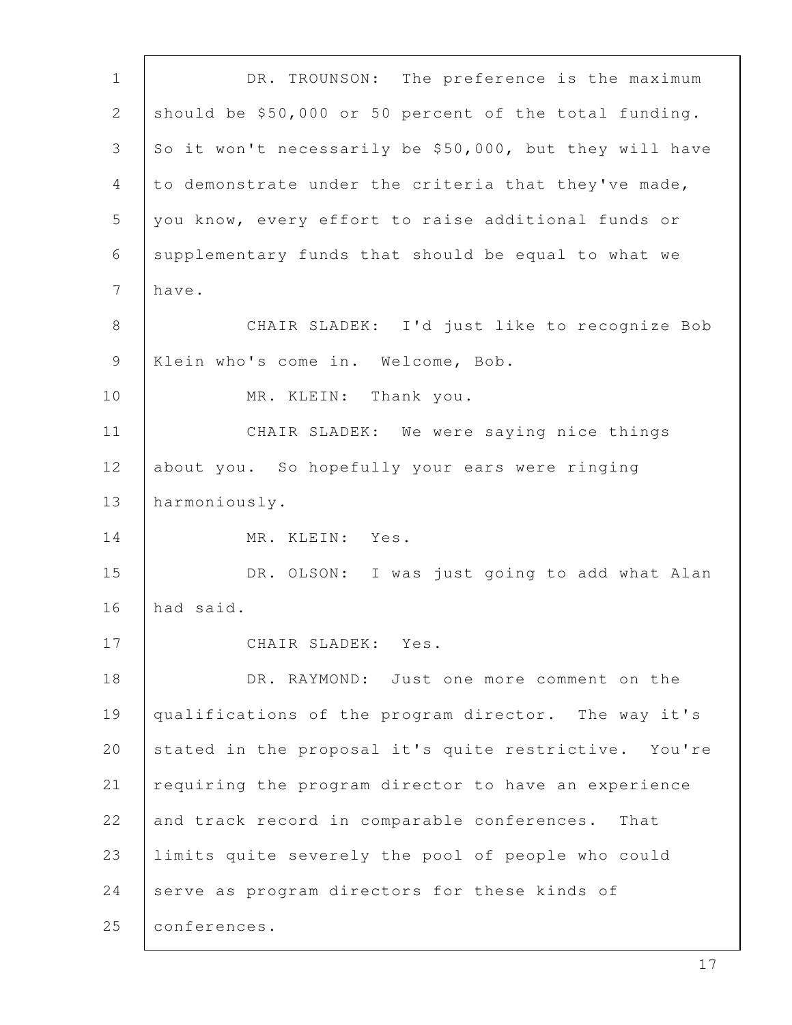1 DR. TROUNSON: The preference is the maximum 2 should be  $$50,000$  or 50 percent of the total funding. 3 So it won't necessarily be \$50,000, but they will have  $4$  to demonstrate under the criteria that they've made, 5 you know, every effort to raise additional funds or 6 supplementary funds that should be equal to what we 7 have. 8 CHAIR SLADEK: I'd just like to recognize Bob 9 | Klein who's come in. Welcome, Bob. 10 | MR. KLEIN: Thank you. 11 | CHAIR SLADEK: We were saying nice things 12 about you. So hopefully your ears were ringing 13 harmoniously. 14 | MR. KLEIN: Yes. 15 | DR. OLSON: I was just going to add what Alan 16 had said. 17 CHAIR SLADEK: Yes. 18 DR. RAYMOND: Just one more comment on the 19 qualifications of the program director. The way it's 20 stated in the proposal it's quite restrictive. You're 21  $\vert$  requiring the program director to have an experience 22 and track record in comparable conferences. That 23 limits quite severely the pool of people who could 24 serve as program directors for these kinds of 25 conferences.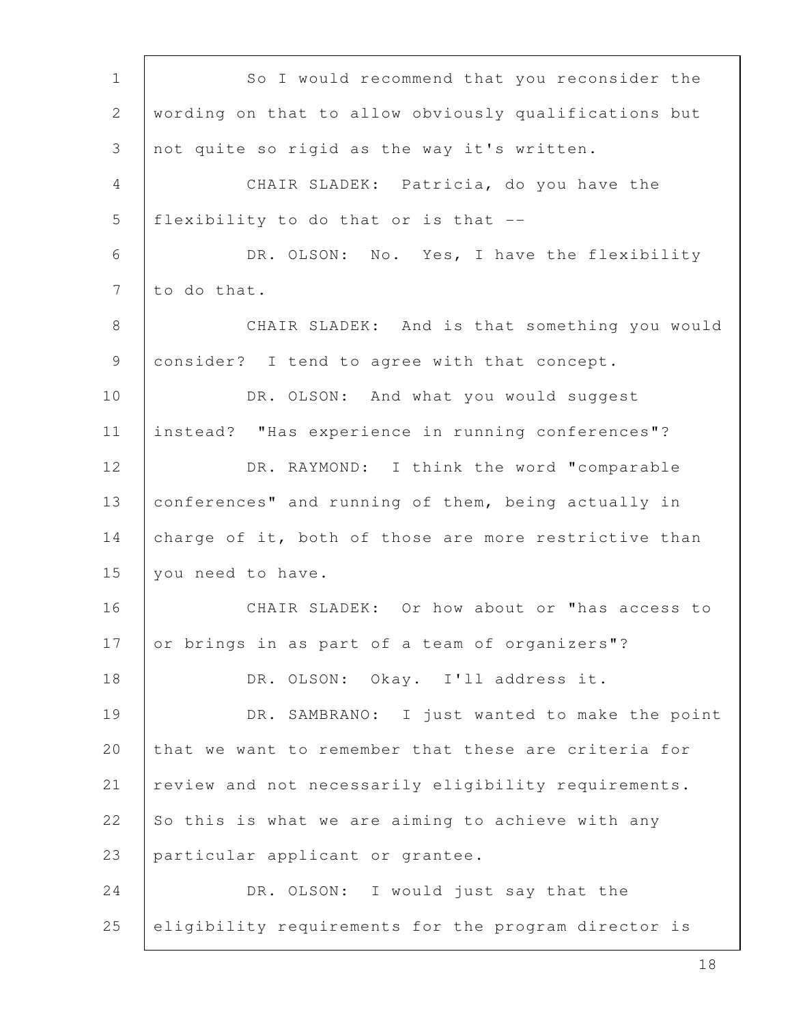| $\mathbf 1$                                               | So I would recommend that you reconsider the          |
|-----------------------------------------------------------|-------------------------------------------------------|
| $\mathbf{2}$                                              | wording on that to allow obviously qualifications but |
| 3                                                         | not quite so rigid as the way it's written.           |
| $\overline{4}$                                            | CHAIR SLADEK: Patricia, do you have the               |
| 5                                                         | flexibility to do that or is that --                  |
| 6                                                         | DR. OLSON: No. Yes, I have the flexibility            |
| $7\phantom{.}$                                            | to do that.                                           |
| 8                                                         | CHAIR SLADEK: And is that something you would         |
| $\mathcal{G}% _{M_{1},M_{2}}^{\alpha,\beta}(\mathcal{A})$ | consider? I tend to agree with that concept.          |
| 10                                                        | DR. OLSON: And what you would suggest                 |
| 11                                                        | instead? "Has experience in running conferences"?     |
| 12                                                        | DR. RAYMOND: I think the word "comparable             |
| 13                                                        | conferences" and running of them, being actually in   |
| 14                                                        | charge of it, both of those are more restrictive than |
| 15                                                        | you need to have.                                     |
| 16                                                        | CHAIR SLADEK: Or how about or "has access to          |
| 17                                                        | or brings in as part of a team of organizers"?        |
| 18                                                        | DR. OLSON: Okay. I'll address it.                     |
| 19                                                        | DR. SAMBRANO: I just wanted to make the point         |
| 20                                                        | that we want to remember that these are criteria for  |
| 21                                                        | review and not necessarily eligibility requirements.  |
| 22                                                        | So this is what we are aiming to achieve with any     |
| 23                                                        | particular applicant or grantee.                      |
| 24                                                        | DR. OLSON: I would just say that the                  |
| 25                                                        | eligibility requirements for the program director is  |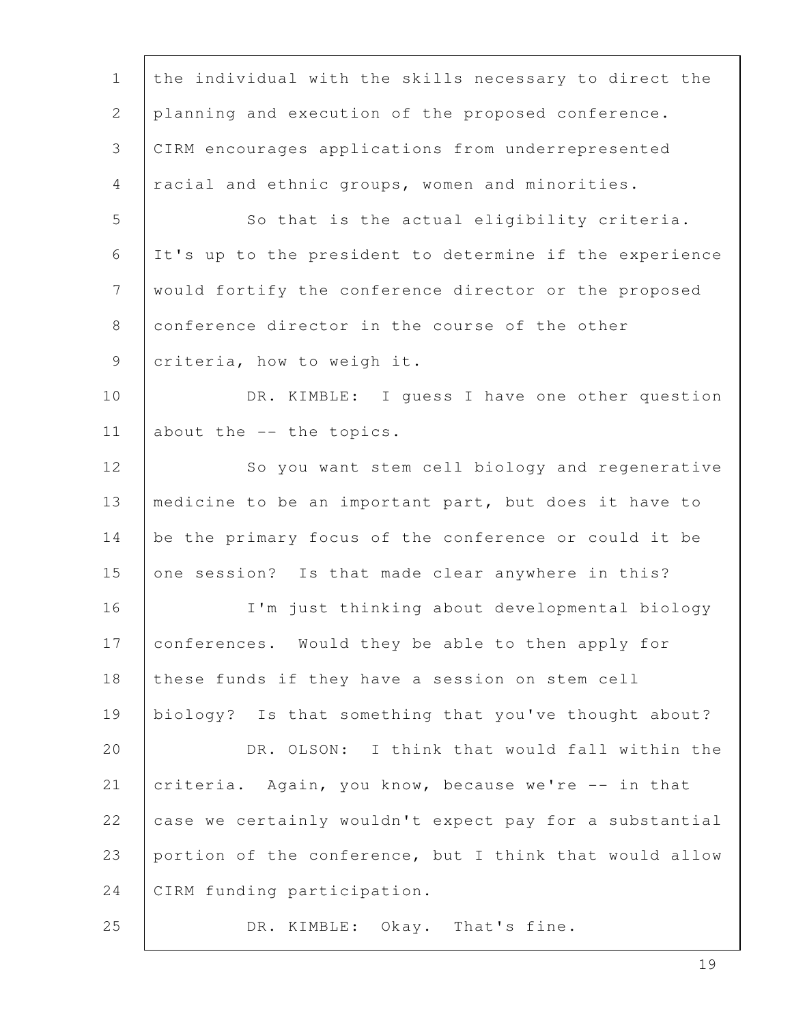| $\mathbf 1$    | the individual with the skills necessary to direct the  |
|----------------|---------------------------------------------------------|
| $\mathbf{2}$   | planning and execution of the proposed conference.      |
| 3              | CIRM encourages applications from underrepresented      |
| $\overline{4}$ | racial and ethnic groups, women and minorities.         |
| 5              | So that is the actual eligibility criteria.             |
| 6              | It's up to the president to determine if the experience |
| $\overline{7}$ | would fortify the conference director or the proposed   |
| 8              | conference director in the course of the other          |
| 9              | criteria, how to weigh it.                              |
| 10             | DR. KIMBLE: I quess I have one other question           |
| 11             | about the -- the topics.                                |
| 12             | So you want stem cell biology and regenerative          |
| 13             | medicine to be an important part, but does it have to   |
| 14             | be the primary focus of the conference or could it be   |
| 15             | one session? Is that made clear anywhere in this?       |
| 16             | I'm just thinking about developmental biology           |
| 17             | conferences. Would they be able to then apply for       |
| 18             | these funds if they have a session on stem cell         |
| 19             | biology? Is that something that you've thought about?   |
| 20             | DR. OLSON: I think that would fall within the           |
| 21             | criteria. Again, you know, because we're -- in that     |
| 22             | case we certainly wouldn't expect pay for a substantial |
| 23             | portion of the conference, but I think that would allow |
| 24             | CIRM funding participation.                             |
| 25             | DR. KIMBLE: Okay. That's fine.                          |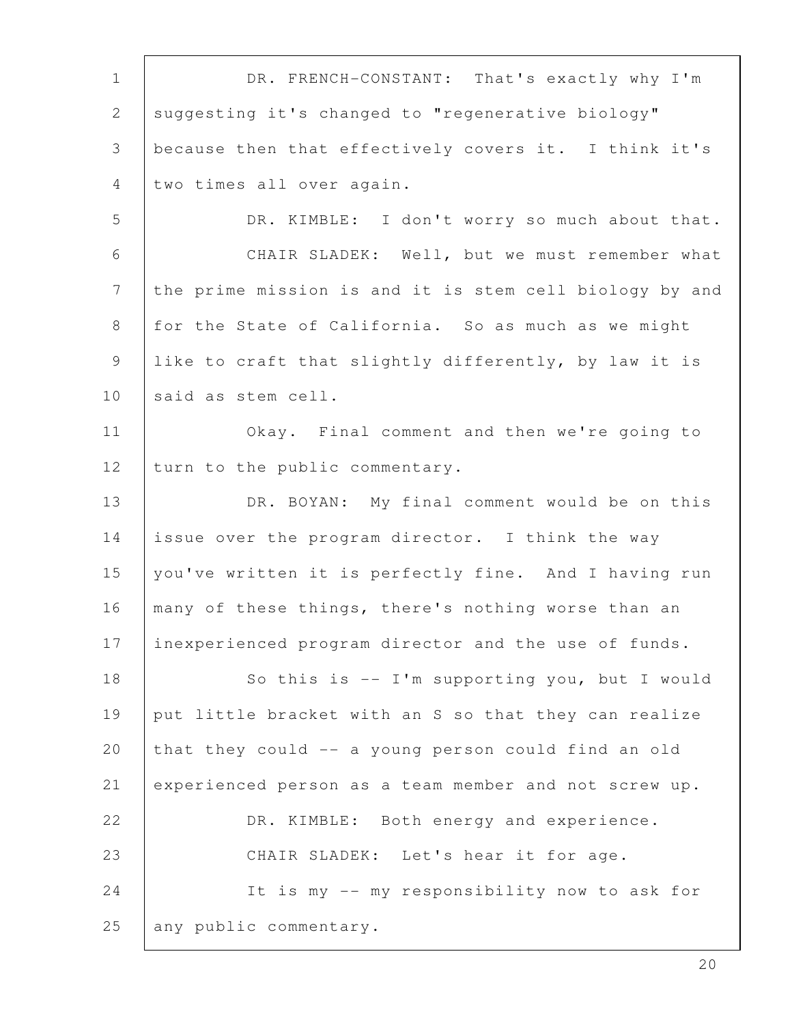| $\mathbf 1$    | DR. FRENCH-CONSTANT: That's exactly why I'm             |
|----------------|---------------------------------------------------------|
| $\overline{2}$ | suggesting it's changed to "regenerative biology"       |
| 3              | because then that effectively covers it. I think it's   |
| 4              | two times all over again.                               |
| 5              | DR. KIMBLE: I don't worry so much about that.           |
| 6              | CHAIR SLADEK: Well, but we must remember what           |
| $7\phantom{.}$ | the prime mission is and it is stem cell biology by and |
| 8              | for the State of California. So as much as we might     |
| 9              | like to craft that slightly differently, by law it is   |
| 10             | said as stem cell.                                      |
| 11             | Okay. Final comment and then we're going to             |
| 12             | turn to the public commentary.                          |
| 13             | DR. BOYAN: My final comment would be on this            |
| 14             | issue over the program director. I think the way        |
| 15             | you've written it is perfectly fine. And I having run   |
| 16             | many of these things, there's nothing worse than an     |
| 17             | inexperienced program director and the use of funds.    |
| 18             | So this is $-$ I'm supporting you, but I would          |
| 19             | put little bracket with an S so that they can realize   |
| 20             | that they could -- a young person could find an old     |
| 21             | experienced person as a team member and not screw up.   |
| 22             | DR. KIMBLE: Both energy and experience.                 |
| 23             | CHAIR SLADEK: Let's hear it for age.                    |
| 24             | It is my -- my responsibility now to ask for            |
| 25             | any public commentary.                                  |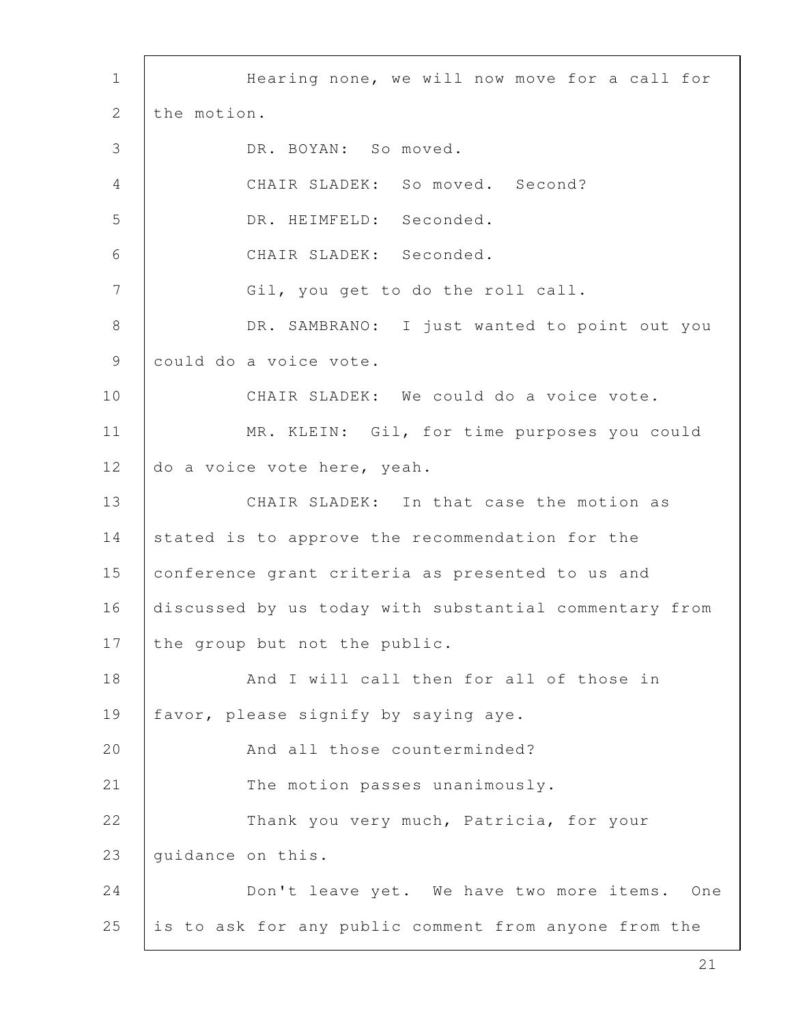1 | Hearing none, we will now move for a call for 2 the motion. 3 DR. BOYAN: So moved. 4 CHAIR SLADEK: So moved. Second? 5 DR. HEIMFELD: Seconded. 6 CHAIR SLADEK: Seconded. 7 | Gil, you get to do the roll call. 8 DR. SAMBRANO: I just wanted to point out you 9 could do a voice vote. 10 CHAIR SLADEK: We could do a voice vote. 11 | MR. KLEIN: Gil, for time purposes you could 12 do a voice vote here, yeah. 13 **CHAIR SLADEK:** In that case the motion as 14 stated is to approve the recommendation for the 15 conference grant criteria as presented to us and 16 discussed by us today with substantial commentary from 17 the group but not the public. 18 | Rand I will call then for all of those in 19 | favor, please signify by saying aye. 20 | And all those counterminded? 21 The motion passes unanimously. 22 | Thank you very much, Patricia, for your 23 | quidance on this. 24 Don't leave yet. We have two more items. One 25 is to ask for any public comment from anyone from the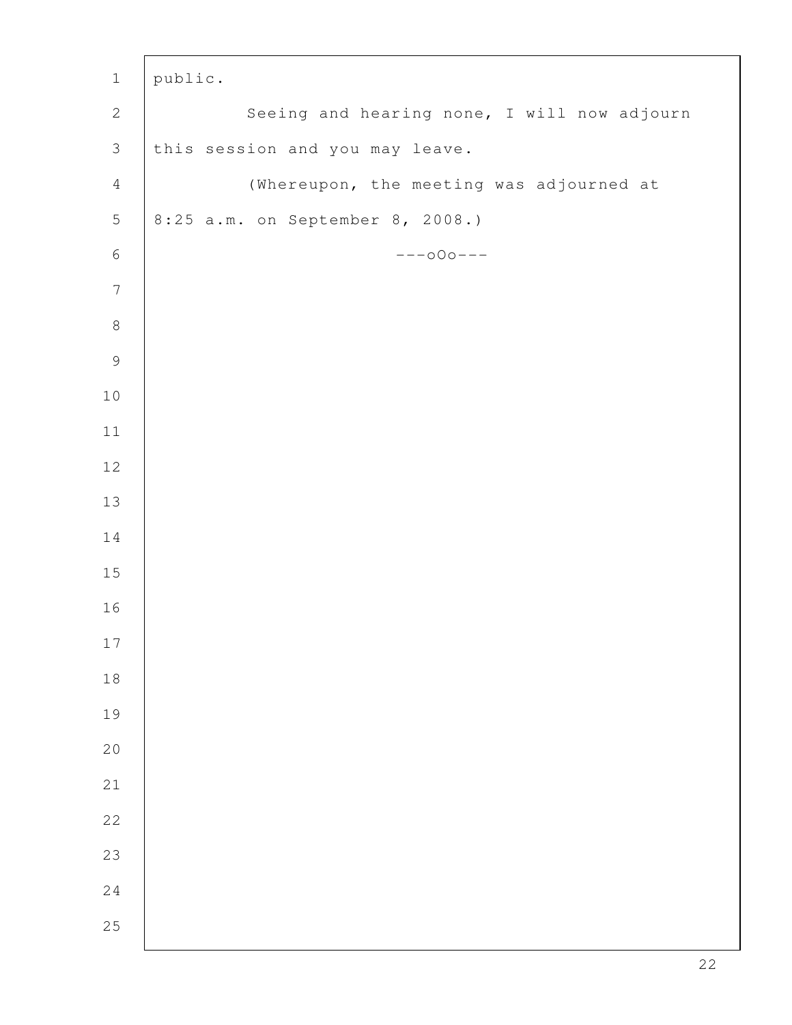| $\mathbf 1$      | public.                                     |
|------------------|---------------------------------------------|
| $\sqrt{2}$       | Seeing and hearing none, I will now adjourn |
| $\mathcal{S}$    | this session and you may leave.             |
| $\overline{4}$   | (Whereupon, the meeting was adjourned at    |
| $\mathbf 5$      | 8:25 a.m. on September 8, 2008.)            |
| $\,$ $\,$ $\,$   | $---000---$                                 |
| $\boldsymbol{7}$ |                                             |
| $\,8\,$          |                                             |
| $\mathcal{G}$    |                                             |
| $10$             |                                             |
| $11\,$           |                                             |
| 12               |                                             |
| 13               |                                             |
| 14               |                                             |
| $15\,$           |                                             |
| 16               |                                             |
| $17\,$           |                                             |
| $1\,8$           |                                             |
| 19               |                                             |
| $20$             |                                             |
| $2\sqrt{1}$      |                                             |
| 22               |                                             |
| 23               |                                             |
| $2\,4$           |                                             |
| 25               |                                             |